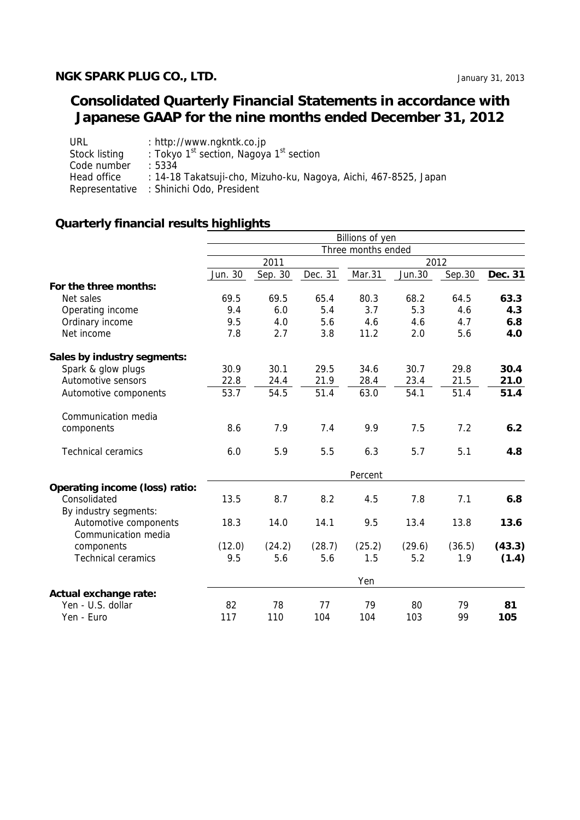## **NGK SPARK PLUG CO., LTD. IMAGE 2013** January 31, 2013

# **Consolidated Quarterly Financial Statements in accordance with Japanese GAAP for the nine months ended December 31, 2012**

| URL           | : http://www.ngkntk.co.jp                                        |
|---------------|------------------------------------------------------------------|
| Stock listing | : Tokyo 1 <sup>st</sup> section, Nagoya 1 <sup>st</sup> section  |
| Code number   | .5334                                                            |
| Head office   | : 14-18 Takatsuji-cho, Mizuho-ku, Nagoya, Aichi, 467-8525, Japan |
|               | Representative : Shinichi Odo, President                         |

# **Quarterly financial results highlights**

|                                |         |         |         | Billions of yen    |               |        |         |
|--------------------------------|---------|---------|---------|--------------------|---------------|--------|---------|
|                                |         |         |         | Three months ended |               |        |         |
|                                |         | 2011    |         | 2012               |               |        |         |
|                                | Jun. 30 | Sep. 30 | Dec. 31 | Mar.31             | <b>Jun.30</b> | Sep.30 | Dec. 31 |
| For the three months:          |         |         |         |                    |               |        |         |
| Net sales                      | 69.5    | 69.5    | 65.4    | 80.3               | 68.2          | 64.5   | 63.3    |
| Operating income               | 9.4     | 6.0     | 5.4     | 3.7                | 5.3           | 4.6    | 4.3     |
| Ordinary income                | 9.5     | 4.0     | 5.6     | 4.6                | 4.6           | 4.7    | 6.8     |
| Net income                     | 7.8     | 2.7     | 3.8     | 11.2               | 2.0           | 5.6    | 4.0     |
| Sales by industry segments:    |         |         |         |                    |               |        |         |
| Spark & glow plugs             | 30.9    | 30.1    | 29.5    | 34.6               | 30.7          | 29.8   | 30.4    |
| Automotive sensors             | 22.8    | 24.4    | 21.9    | 28.4               | 23.4          | 21.5   | 21.0    |
| Automotive components          | 53.7    | 54.5    | 51.4    | 63.0               | 54.1          | 51.4   | 51.4    |
| Communication media            |         |         |         |                    |               |        |         |
| components                     | 8.6     | 7.9     | 7.4     | 9.9                | 7.5           | 7.2    | 6.2     |
| <b>Technical ceramics</b>      | 6.0     | 5.9     | 5.5     | 6.3                | 5.7           | 5.1    | 4.8     |
|                                |         |         |         | Percent            |               |        |         |
| Operating income (loss) ratio: |         |         |         |                    |               |        |         |
| Consolidated                   | 13.5    | 8.7     | 8.2     | 4.5                | 7.8           | 7.1    | 6.8     |
| By industry segments:          |         |         |         |                    |               |        |         |
| Automotive components          | 18.3    | 14.0    | 14.1    | 9.5                | 13.4          | 13.8   | 13.6    |
| Communication media            |         |         |         |                    |               |        |         |
| components                     | (12.0)  | (24.2)  | (28.7)  | (25.2)             | (29.6)        | (36.5) | (43.3)  |
| <b>Technical ceramics</b>      | 9.5     | 5.6     | 5.6     | 1.5                | 5.2           | 1.9    | (1.4)   |
|                                |         |         |         | Yen                |               |        |         |
| Actual exchange rate:          |         |         |         |                    |               |        |         |
| Yen - U.S. dollar              | 82      | 78      | 77      | 79                 | 80            | 79     | 81      |
| Yen - Euro                     | 117     | 110     | 104     | 104                | 103           | 99     | 105     |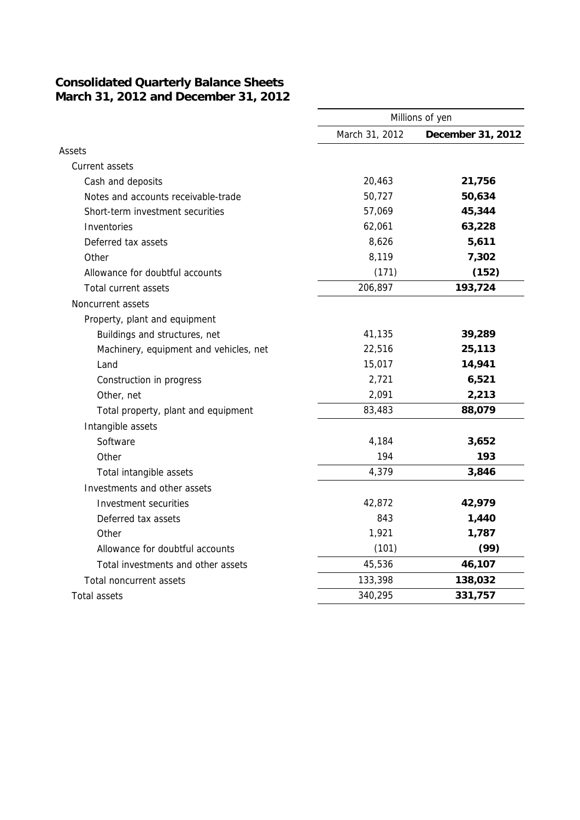### **Consolidated Quarterly Balance Sheets March 31, 2012 and December 31, 2012**

|                                        | Millions of yen |                   |  |
|----------------------------------------|-----------------|-------------------|--|
|                                        | March 31, 2012  | December 31, 2012 |  |
| Assets                                 |                 |                   |  |
| Current assets                         |                 |                   |  |
| Cash and deposits                      | 20,463          | 21,756            |  |
| Notes and accounts receivable-trade    | 50,727          | 50,634            |  |
| Short-term investment securities       | 57,069          | 45,344            |  |
| Inventories                            | 62,061          | 63,228            |  |
| Deferred tax assets                    | 8,626           | 5,611             |  |
| Other                                  | 8,119           | 7,302             |  |
| Allowance for doubtful accounts        | (171)           | (152)             |  |
| Total current assets                   | 206,897         | 193,724           |  |
| Noncurrent assets                      |                 |                   |  |
| Property, plant and equipment          |                 |                   |  |
| Buildings and structures, net          | 41,135          | 39,289            |  |
| Machinery, equipment and vehicles, net | 22,516          | 25,113            |  |
| Land                                   | 15,017          | 14,941            |  |
| Construction in progress               | 2,721           | 6,521             |  |
| Other, net                             | 2,091           | 2,213             |  |
| Total property, plant and equipment    | 83,483          | 88,079            |  |
| Intangible assets                      |                 |                   |  |
| Software                               | 4,184           | 3,652             |  |
| Other                                  | 194             | 193               |  |
| Total intangible assets                | 4,379           | 3,846             |  |
| Investments and other assets           |                 |                   |  |
| Investment securities                  | 42,872          | 42,979            |  |
| Deferred tax assets                    | 843             | 1,440             |  |
| Other                                  | 1,921           | 1,787             |  |
| Allowance for doubtful accounts        | (101)           | (99)              |  |
| Total investments and other assets     | 45,536          | 46,107            |  |
| Total noncurrent assets                | 133,398         | 138,032           |  |
| <b>Total assets</b>                    | 340,295         | 331,757           |  |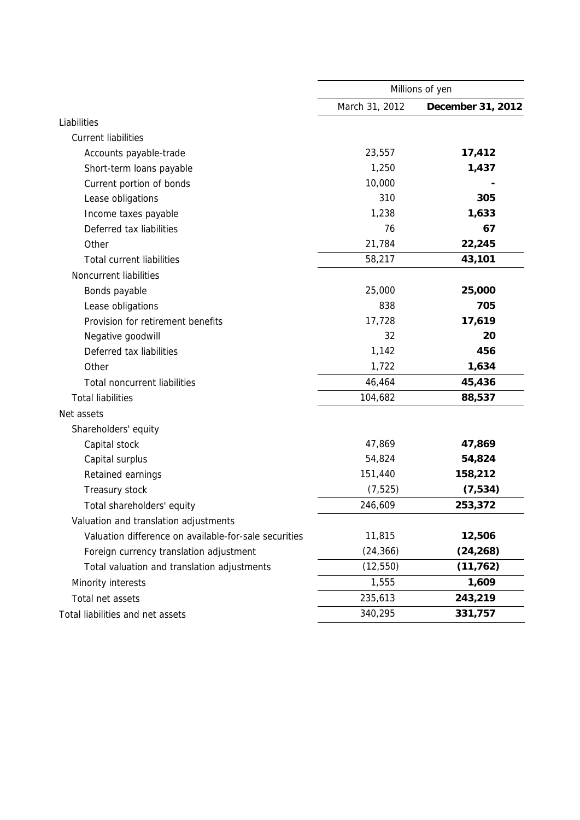|                                                       | Millions of yen |                   |  |
|-------------------------------------------------------|-----------------|-------------------|--|
|                                                       | March 31, 2012  | December 31, 2012 |  |
| Liabilities                                           |                 |                   |  |
| <b>Current liabilities</b>                            |                 |                   |  |
| Accounts payable-trade                                | 23,557          | 17,412            |  |
| Short-term loans payable                              | 1,250           | 1,437             |  |
| Current portion of bonds                              | 10,000          |                   |  |
| Lease obligations                                     | 310             | 305               |  |
| Income taxes payable                                  | 1,238           | 1,633             |  |
| Deferred tax liabilities                              | 76              | 67                |  |
| Other                                                 | 21,784          | 22,245            |  |
| <b>Total current liabilities</b>                      | 58,217          | 43,101            |  |
| Noncurrent liabilities                                |                 |                   |  |
| Bonds payable                                         | 25,000          | 25,000            |  |
| Lease obligations                                     | 838             | 705               |  |
| Provision for retirement benefits                     | 17,728          | 17,619            |  |
| Negative goodwill                                     | 32              | 20                |  |
| Deferred tax liabilities                              | 1,142           | 456               |  |
| Other                                                 | 1,722           | 1,634             |  |
| <b>Total noncurrent liabilities</b>                   | 46,464          | 45,436            |  |
| <b>Total liabilities</b>                              | 104,682         | 88,537            |  |
| Net assets                                            |                 |                   |  |
| Shareholders' equity                                  |                 |                   |  |
| Capital stock                                         | 47,869          | 47,869            |  |
| Capital surplus                                       | 54,824          | 54,824            |  |
| Retained earnings                                     | 151,440         | 158,212           |  |
| Treasury stock                                        | (7, 525)        | (7, 534)          |  |
| Total shareholders' equity                            | 246,609         | 253,372           |  |
| Valuation and translation adjustments                 |                 |                   |  |
| Valuation difference on available-for-sale securities | 11,815          | 12,506            |  |
| Foreign currency translation adjustment               | (24, 366)       | (24, 268)         |  |
| Total valuation and translation adjustments           | (12, 550)       | (11, 762)         |  |
| Minority interests                                    | 1,555           | 1,609             |  |
| Total net assets                                      | 235,613         | 243,219           |  |
| Total liabilities and net assets                      | 340,295         | 331,757           |  |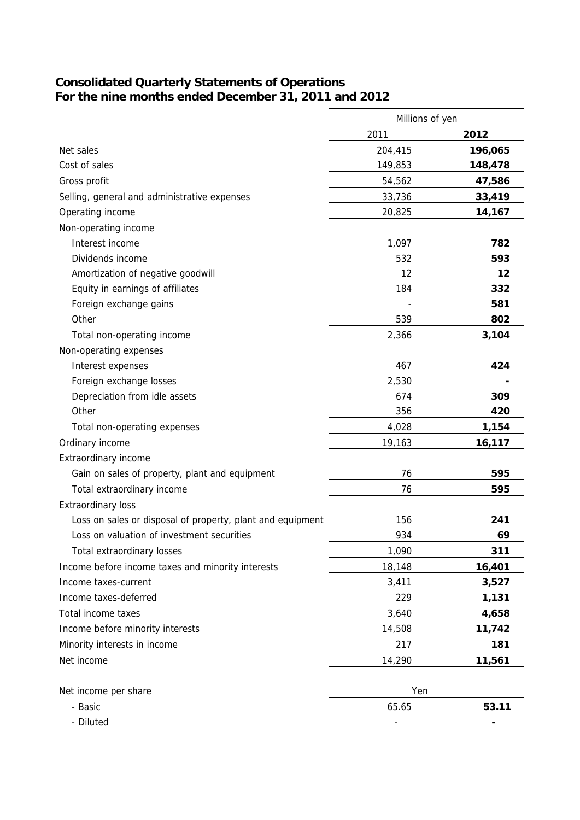### **Consolidated Quarterly Statements of Operations For the nine months ended December 31, 2011 and 2012**

|                                                            | Millions of yen |         |
|------------------------------------------------------------|-----------------|---------|
|                                                            | 2011            | 2012    |
| Net sales                                                  | 204,415         | 196,065 |
| Cost of sales                                              | 149,853         | 148,478 |
| Gross profit                                               | 54,562          | 47,586  |
| Selling, general and administrative expenses               | 33,736          | 33,419  |
| Operating income                                           | 20,825          | 14,167  |
| Non-operating income                                       |                 |         |
| Interest income                                            | 1,097           | 782     |
| Dividends income                                           | 532             | 593     |
| Amortization of negative goodwill                          | 12              | 12      |
| Equity in earnings of affiliates                           | 184             | 332     |
| Foreign exchange gains                                     |                 | 581     |
| Other                                                      | 539             | 802     |
| Total non-operating income                                 | 2,366           | 3,104   |
| Non-operating expenses                                     |                 |         |
| Interest expenses                                          | 467             | 424     |
| Foreign exchange losses                                    | 2,530           |         |
| Depreciation from idle assets                              | 674             | 309     |
| Other                                                      | 356             | 420     |
| Total non-operating expenses                               | 4,028           | 1,154   |
| Ordinary income                                            | 19,163          | 16,117  |
| Extraordinary income                                       |                 |         |
| Gain on sales of property, plant and equipment             | 76              | 595     |
| Total extraordinary income                                 | 76              | 595     |
| <b>Extraordinary loss</b>                                  |                 |         |
| Loss on sales or disposal of property, plant and equipment | 156             | 241     |
| Loss on valuation of investment securities                 | 934             | 69      |
| Total extraordinary losses                                 | 1,090           | 311     |
| Income before income taxes and minority interests          | 18,148          | 16,401  |
| Income taxes-current                                       | 3,411           | 3,527   |
| Income taxes-deferred                                      | 229             | 1,131   |
| Total income taxes                                         | 3,640           | 4,658   |
| Income before minority interests                           | 14,508          | 11,742  |
| Minority interests in income                               | 217             | 181     |
| Net income                                                 | 14,290          | 11,561  |
|                                                            |                 |         |
| Net income per share                                       | Yen             |         |
| - Basic                                                    | 65.65           | 53.11   |
| - Diluted                                                  |                 |         |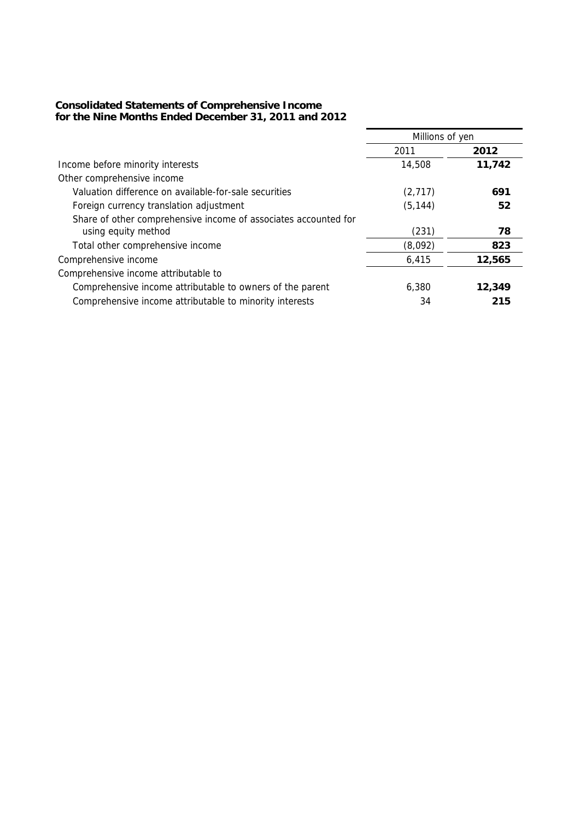#### **Consolidated Statements of Comprehensive Income for the Nine Months Ended December 31, 2011 and 2012**

|                                                                 | Millions of yen |        |  |
|-----------------------------------------------------------------|-----------------|--------|--|
|                                                                 | 2011            | 2012   |  |
| Income before minority interests                                | 14,508          | 11,742 |  |
| Other comprehensive income                                      |                 |        |  |
| Valuation difference on available-for-sale securities           | (2,717)         | 691    |  |
| Foreign currency translation adjustment                         | (5, 144)        | 52     |  |
| Share of other comprehensive income of associates accounted for |                 |        |  |
| using equity method                                             | (231)           | 78     |  |
| Total other comprehensive income                                | (8,092)         | 823    |  |
| Comprehensive income                                            | 6,415           | 12,565 |  |
| Comprehensive income attributable to                            |                 |        |  |
| Comprehensive income attributable to owners of the parent       | 6,380           | 12,349 |  |
| Comprehensive income attributable to minority interests         | 34              | 215    |  |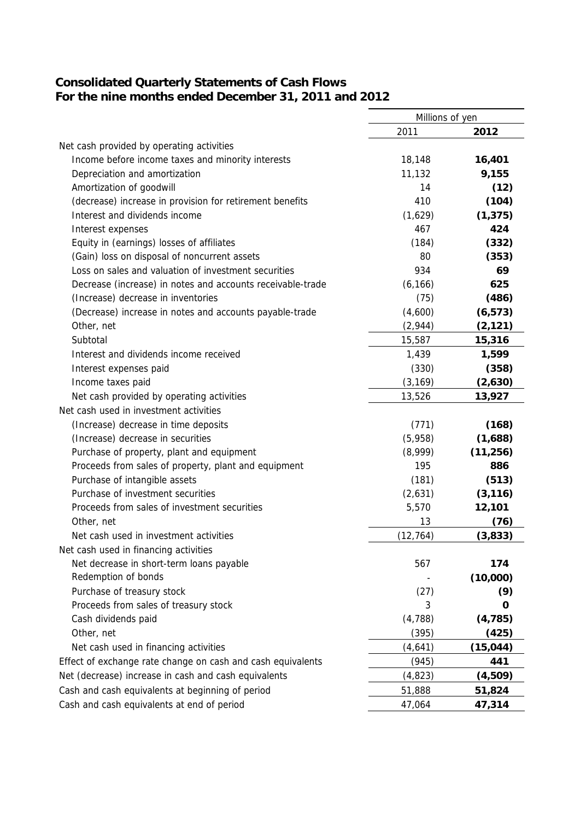### **Consolidated Quarterly Statements of Cash Flows For the nine months ended December 31, 2011 and 2012**

|                                                             | Millions of yen |           |
|-------------------------------------------------------------|-----------------|-----------|
|                                                             | 2011            | 2012      |
| Net cash provided by operating activities                   |                 |           |
| Income before income taxes and minority interests           | 18,148          | 16,401    |
| Depreciation and amortization                               | 11,132          | 9,155     |
| Amortization of goodwill                                    | 14              | (12)      |
| (decrease) increase in provision for retirement benefits    | 410             | (104)     |
| Interest and dividends income                               | (1,629)         | (1, 375)  |
| Interest expenses                                           | 467             | 424       |
| Equity in (earnings) losses of affiliates                   | (184)           | (332)     |
| (Gain) loss on disposal of noncurrent assets                | 80              | (353)     |
| Loss on sales and valuation of investment securities        | 934             | 69        |
| Decrease (increase) in notes and accounts receivable-trade  | (6, 166)        | 625       |
| (Increase) decrease in inventories                          | (75)            | (486)     |
| (Decrease) increase in notes and accounts payable-trade     | (4,600)         | (6, 573)  |
| Other, net                                                  | (2,944)         | (2, 121)  |
| Subtotal                                                    | 15,587          | 15,316    |
| Interest and dividends income received                      | 1,439           | 1,599     |
| Interest expenses paid                                      | (330)           | (358)     |
| Income taxes paid                                           | (3, 169)        | (2,630)   |
| Net cash provided by operating activities                   | 13,526          | 13,927    |
| Net cash used in investment activities                      |                 |           |
| (Increase) decrease in time deposits                        | (771)           | (168)     |
| (Increase) decrease in securities                           | (5,958)         | (1,688)   |
| Purchase of property, plant and equipment                   | (8,999)         | (11, 256) |
| Proceeds from sales of property, plant and equipment        | 195             | 886       |
| Purchase of intangible assets                               | (181)           | (513)     |
| Purchase of investment securities                           | (2,631)         | (3, 116)  |
| Proceeds from sales of investment securities                | 5,570           | 12,101    |
| Other, net                                                  | 13              | (76)      |
| Net cash used in investment activities                      | (12, 764)       | (3,833)   |
| Net cash used in financing activities                       |                 |           |
| Net decrease in short-term loans payable                    | 567             | 174       |
| Redemption of bonds                                         |                 | (10,000)  |
| Purchase of treasury stock                                  | (27)            | (9)       |
| Proceeds from sales of treasury stock                       | 3               | 0         |
| Cash dividends paid                                         | (4, 788)        | (4, 785)  |
| Other, net                                                  | (395)           | (425)     |
| Net cash used in financing activities                       | (4,641)         | (15, 044) |
| Effect of exchange rate change on cash and cash equivalents | (945)           | 441       |
| Net (decrease) increase in cash and cash equivalents        | (4, 823)        | (4,509)   |
| Cash and cash equivalents at beginning of period            | 51,888          | 51,824    |
| Cash and cash equivalents at end of period                  | 47,064          | 47,314    |